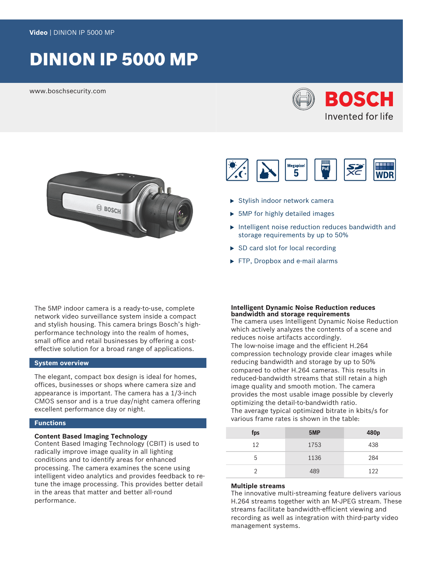# DINION IP 5000 MP

www.boschsecurity.com







- $\blacktriangleright$  Stylish indoor network camera
- $\triangleright$  5MP for highly detailed images
- $\triangleright$  Intelligent noise reduction reduces bandwidth and storage requirements by up to 50%
- $\triangleright$  SD card slot for local recording
- $\blacktriangleright$  FTP, Dropbox and e-mail alarms

The 5MP indoor camera is a ready-to-use, complete network video surveillance system inside a compact and stylish housing. This camera brings Bosch's highperformance technology into the realm of homes, small office and retail businesses by offering a costeffective solution for a broad range of applications.

# **System overview**

The elegant, compact box design is ideal for homes, offices, businesses or shops where camera size and appearance is important. The camera has a 1/3-inch CMOS sensor and is a true day/night camera offering excellent performance day or night.

# **Functions**

#### **Content Based Imaging Technology**

Content Based Imaging Technology (CBIT) is used to radically improve image quality in all lighting conditions and to identify areas for enhanced processing. The camera examines the scene using intelligent video analytics and provides feedback to retune the image processing. This provides better detail in the areas that matter and better all-round performance.

#### **Intelligent Dynamic Noise Reduction reduces bandwidth and storage requirements**

The camera uses Intelligent Dynamic Noise Reduction which actively analyzes the contents of a scene and reduces noise artifacts accordingly. The low-noise image and the efficient H.264 compression technology provide clear images while reducing bandwidth and storage by up to 50% compared to other H.264 cameras. This results in reduced-bandwidth streams that still retain a high image quality and smooth motion. The camera provides the most usable image possible by cleverly optimizing the detail-to-bandwidth ratio.

The average typical optimized bitrate in kbits/s for various frame rates is shown in the table:

| fps | 5MP  | 480 <sub>p</sub> |
|-----|------|------------------|
| 12  | 1753 | 438              |
| 5   | 1136 | 284              |
|     | 489  | 122              |

### **Multiple streams**

The innovative multi-streaming feature delivers various H.264 streams together with an M‑JPEG stream. These streams facilitate bandwidth-efficient viewing and recording as well as integration with third-party video management systems.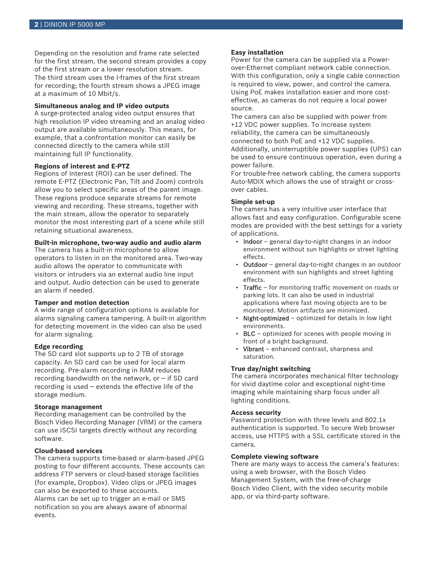Depending on the resolution and frame rate selected for the first stream, the second stream provides a copy of the first stream or a lower resolution stream. The third stream uses the I-frames of the first stream for recording; the fourth stream shows a JPEG image at a maximum of 10 Mbit/s.

## **Simultaneous analog and IP video outputs**

A surge-protected analog video output ensures that high resolution IP video streaming and an analog video output are available simultaneously. This means, for example, that a confrontation monitor can easily be connected directly to the camera while still maintaining full IP functionality.

### **Regions of interest and E-PTZ**

Regions of Interest (ROI) can be user defined. The remote E-PTZ (Electronic Pan, Tilt and Zoom) controls allow you to select specific areas of the parent image. These regions produce separate streams for remote viewing and recording. These streams, together with the main stream, allow the operator to separately monitor the most interesting part of a scene while still retaining situational awareness.

## **Built-in microphone, two-way audio and audio alarm**

The camera has a built-in microphone to allow operators to listen in on the monitored area. Two-way audio allows the operator to communicate with visitors or intruders via an external audio line input and output. Audio detection can be used to generate an alarm if needed.

# **Tamper and motion detection**

A wide range of configuration options is available for alarms signaling camera tampering. A built-in algorithm for detecting movement in the video can also be used for alarm signaling.

## **Edge recording**

The SD card slot supports up to 2 TB of storage capacity. An SD card can be used for local alarm recording. Pre-alarm recording in RAM reduces recording bandwidth on the network, or  $-$  if SD card recording is used — extends the effective life of the storage medium.

# **Storage management**

Recording management can be controlled by the Bosch Video Recording Manager (VRM) or the camera can use iSCSI targets directly without any recording software.

# **Cloud-based services**

The camera supports time-based or alarm-based JPEG posting to four different accounts. These accounts can address FTP servers or cloud-based storage facilities (for example, Dropbox). Video clips or JPEG images can also be exported to these accounts. Alarms can be set up to trigger an e-mail or SMS

notification so you are always aware of abnormal events.

# **Easy installation**

Power for the camera can be supplied via a Powerover-Ethernet compliant network cable connection. With this configuration, only a single cable connection is required to view, power, and control the camera. Using PoE makes installation easier and more costeffective, as cameras do not require a local power source.

The camera can also be supplied with power from +12 VDC power supplies. To increase system reliability, the camera can be simultaneously connected to both PoE and +12 VDC supplies. Additionally, uninterruptible power supplies (UPS) can be used to ensure continuous operation, even during a power failure.

For trouble-free network cabling, the camera supports Auto-MDIX which allows the use of straight or crossover cables.

#### **Simple set-up**

The camera has a very intuitive user interface that allows fast and easy configuration. Configurable scene modes are provided with the best settings for a variety of applications.

- Indoor general day-to-night changes in an indoor environment without sun highlights or street lighting effects.
- Outdoor general day-to-night changes in an outdoor environment with sun highlights and street lighting effects.
- Traffic for monitoring traffic movement on roads or parking lots. It can also be used in industrial applications where fast moving objects are to be monitored. Motion artifacts are minimized.
- **Night-optimized** optimized for details in low light environments.
- BLC optimized for scenes with people moving in front of a bright background.
- Vibrant enhanced contrast, sharpness and saturation.

#### **True day/night switching**

The camera incorporates mechanical filter technology for vivid daytime color and exceptional night-time imaging while maintaining sharp focus under all lighting conditions.

#### **Access security**

Password protection with three levels and 802.1x authentication is supported. To secure Web browser access, use HTTPS with a SSL certificate stored in the camera.

# **Complete viewing software**

There are many ways to access the camera's features: using a web browser, with the Bosch Video Management System, with the free-of-charge Bosch Video Client, with the video security mobile app, or via third-party software.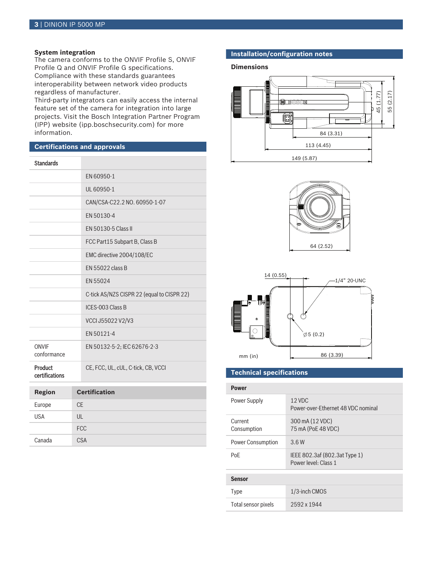# **System integration**

The camera conforms to the ONVIF Profile S, ONVIF Profile Q and ONVIF Profile G specifications. Compliance with these standards guarantees interoperability between network video products regardless of manufacturer.

Third-party integrators can easily access the internal feature set of the camera for integration into large projects. Visit the Bosch Integration Partner Program (IPP) website (ipp.boschsecurity.com) for more information.

# **Certifications and approvals**

Canada CSA

| <b>Standards</b>            |                |                                            |
|-----------------------------|----------------|--------------------------------------------|
|                             |                | EN 60950-1                                 |
|                             |                | UL 60950-1                                 |
|                             |                | CAN/CSA-C22.2 NO. 60950-1-07               |
|                             |                | EN 50130-4                                 |
|                             |                | EN 50130-5 Class II                        |
|                             |                | FCC Part15 Subpart B, Class B              |
|                             |                | EMC directive 2004/108/EC                  |
|                             |                | EN 55022 class B                           |
|                             |                | EN 55024                                   |
|                             |                | C-tick AS/NZS CISPR 22 (equal to CISPR 22) |
|                             |                | ICES-003 Class B                           |
|                             |                | VCCI J55022 V2/V3                          |
|                             |                | EN 50121-4                                 |
| <b>ONVIF</b><br>conformance |                | EN 50132-5-2; IEC 62676-2-3                |
| Product<br>certifications   |                | CE, FCC, UL, cUL, C-tick, CB, VCCI         |
| <b>Region</b>               |                | <b>Certification</b>                       |
| Europe                      | $C_{\text{F}}$ |                                            |
| <b>USA</b>                  | UL             |                                            |
|                             |                | <b>FCC</b>                                 |

# **Installation/configuration notes**

#### **Dimensions**







# **Technical specifications**

| 12 VDC<br>Power-over-Ethernet 48 VDC nominal          |
|-------------------------------------------------------|
| 300 mA (12 VDC)<br>75 mA (PoE 48 VDC)                 |
| 3.6W                                                  |
| IEEE 802.3af (802.3at Type 1)<br>Power level: Class 1 |
|                                                       |
| 1/3-inch CMOS                                         |
| 2592 x 1944                                           |
|                                                       |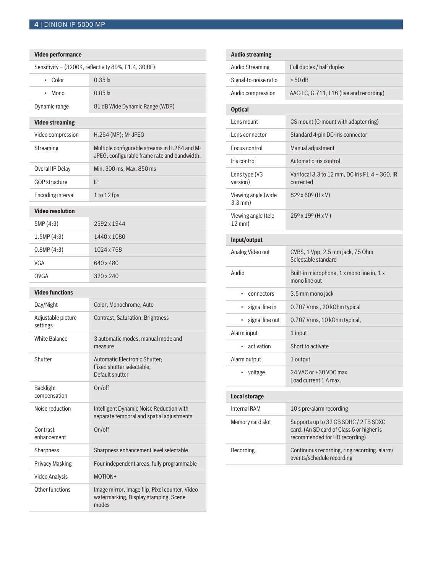# **Video performance**

|                                  | Sensitivity - (3200K, reflectivity 89%, F1.4, 30IRE)                                          |
|----------------------------------|-----------------------------------------------------------------------------------------------|
| Color<br>$\bullet$               | $0.35$ $\mathsf{k}$                                                                           |
| Mono                             | $0.05$ lx                                                                                     |
| Dynamic range                    | 81 dB Wide Dynamic Range (WDR)                                                                |
| <b>Video streaming</b>           |                                                                                               |
| Video compression                | H.264 (MP): M-JPEG                                                                            |
| <b>Streaming</b>                 | Multiple configurable streams in H.264 and M-<br>JPEG, configurable frame rate and bandwidth. |
| Overall IP Delay                 | Min. 300 ms, Max. 850 ms                                                                      |
| <b>GOP structure</b>             | IP                                                                                            |
| Encoding interval                | 1 to 12 fps                                                                                   |
| <b>Video resolution</b>          |                                                                                               |
| 5MP (4:3)                        | 2592 x 1944                                                                                   |
| 1.5MP(4:3)                       | 1440 x 1080                                                                                   |
| 0.8MP(4:3)                       | 1024 x 768                                                                                    |
| VGA                              | 640 x 480                                                                                     |
| QVGA                             | 320 x 240                                                                                     |
|                                  |                                                                                               |
| <b>Video functions</b>           |                                                                                               |
| Day/Night                        | Color, Monochrome, Auto                                                                       |
| Adjustable picture<br>settings   | <b>Contrast, Saturation, Brightness</b>                                                       |
| <b>White Balance</b>             | 3 automatic modes, manual mode and<br>measure                                                 |
| Shutter                          | Automatic Electronic Shutter;<br>Fixed shutter selectable:<br>Default shutter                 |
| <b>Backlight</b><br>compensation | On/off                                                                                        |
| Noise reduction                  | Intelligent Dynamic Noise Reduction with<br>separate temporal and spatial adjustments         |
| Contrast<br>enhancement          | On/off                                                                                        |
| Sharpness                        | Sharpness enhancement level selectable                                                        |
| <b>Privacy Masking</b>           | Four independent areas, fully programmable                                                    |
| <b>Video Analysis</b>            | MOTION+                                                                                       |

| <b>Audio streaming</b>                   |                                                                                                                     |
|------------------------------------------|---------------------------------------------------------------------------------------------------------------------|
| <b>Audio Streaming</b>                   | Full duplex / half duplex                                                                                           |
| Signal-to-noise ratio                    | $> 50$ dB                                                                                                           |
| Audio compression                        | AAC-LC, G.711, L16 (live and recording)                                                                             |
| <b>Optical</b>                           |                                                                                                                     |
| Lens mount                               | CS mount (C-mount with adapter ring)                                                                                |
| Lens connector                           | Standard 4-pin DC-iris connector                                                                                    |
| Focus control                            | Manual adjustment                                                                                                   |
| Iris control                             | Automatic iris control                                                                                              |
| Lens type (V3<br>version)                | Varifocal 3.3 to 12 mm, DC Iris F1.4 - 360, IR<br>corrected                                                         |
| Viewing angle (wide<br>$3.3$ mm $)$      | 82° x 60° (H x V)                                                                                                   |
| Viewing angle (tele<br>$12 \text{ mm}$ ) | 25° x 19° (H x V)                                                                                                   |
| Input/output                             |                                                                                                                     |
| Analog Video out                         | CVBS, 1 Vpp, 2.5 mm jack, 75 Ohm<br>Selectable standard                                                             |
| Audio                                    | Built-in microphone, 1 x mono line in, 1 x<br>mono line out                                                         |
| connectors<br>٠                          | 3.5 mm mono jack                                                                                                    |
| signal line in<br>٠                      | 0.707 Vrms, 20 kOhm typical                                                                                         |
| signal line out<br>٠                     | 0.707 Vrms, 10 kOhm typical,                                                                                        |
| Alarm input                              | 1 input                                                                                                             |
| activation<br>$\bullet$                  | Short to activate                                                                                                   |
| Alarm output                             | 1 output                                                                                                            |
| voltage                                  | 24 VAC or +30 VDC max.<br>Load current 1 A max.                                                                     |
| <b>Local storage</b>                     |                                                                                                                     |
| <b>Internal RAM</b>                      | 10 s pre-alarm recording                                                                                            |
| Memory card slot                         | Supports up to 32 GB SDHC / 2 TB SDXC<br>card. (An SD card of Class 6 or higher is<br>recommended for HD recording) |
| Recording                                | Continuous recording, ring recording. alarm/<br>events/schedule recording                                           |
|                                          |                                                                                                                     |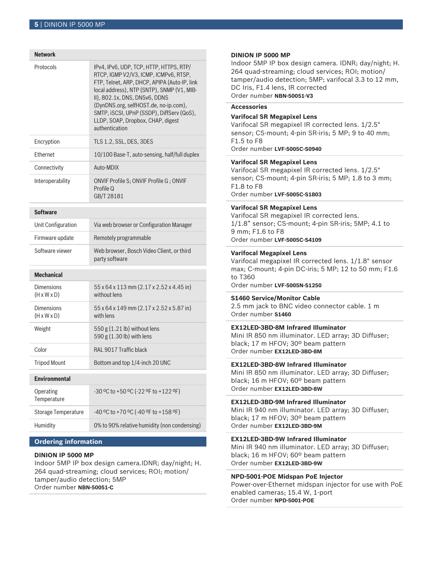| <b>Network</b>                               |                                                                                                                                                                                                                                                                                                                                                              |
|----------------------------------------------|--------------------------------------------------------------------------------------------------------------------------------------------------------------------------------------------------------------------------------------------------------------------------------------------------------------------------------------------------------------|
| Protocols                                    | IPv4, IPv6, UDP, TCP, HTTP, HTTPS, RTP/<br>RTCP, IGMP V2/V3, ICMP, ICMPv6, RTSP,<br>FTP, Telnet, ARP, DHCP, APIPA (Auto-IP, link<br>local address), NTP (SNTP), SNMP (V1, MIB-<br>II), 802.1x, DNS, DNSv6, DDNS<br>(DynDNS.org, selfHOST.de, no-ip.com),<br>SMTP, iSCSI, UPnP (SSDP), DiffServ (QoS),<br>LLDP, SOAP, Dropbox, CHAP, digest<br>authentication |
| Encryption                                   | TLS 1.2, SSL, DES, 3DES                                                                                                                                                                                                                                                                                                                                      |
| Ethernet                                     | 10/100 Base-T, auto-sensing, half/full duplex                                                                                                                                                                                                                                                                                                                |
| Connectivity                                 | Auto-MDIX                                                                                                                                                                                                                                                                                                                                                    |
| Interoperability                             | ONVIF Profile S; ONVIF Profile G; ONVIF<br>Profile Q<br>GB/T 28181                                                                                                                                                                                                                                                                                           |
| <b>Software</b>                              |                                                                                                                                                                                                                                                                                                                                                              |
| Unit Configuration                           | Via web browser or Configuration Manager                                                                                                                                                                                                                                                                                                                     |
| Firmware update                              | Remotely programmable                                                                                                                                                                                                                                                                                                                                        |
| Software viewer                              | Web browser, Bosch Video Client, or third<br>party software                                                                                                                                                                                                                                                                                                  |
| <b>Mechanical</b>                            |                                                                                                                                                                                                                                                                                                                                                              |
| Dimensions<br>$(H \times W \times D)$        |                                                                                                                                                                                                                                                                                                                                                              |
|                                              | 55 x 64 x 113 mm (2.17 x 2.52 x 4.45 in)<br>without lens                                                                                                                                                                                                                                                                                                     |
| <b>Dimensions</b><br>$(H \times W \times D)$ | 55 x 64 x 149 mm (2.17 x 2.52 x 5.87 in)<br>with lens                                                                                                                                                                                                                                                                                                        |
| Weight                                       | 550 g (1.21 lb) without lens<br>590 g (1.30 lb) with lens                                                                                                                                                                                                                                                                                                    |
| Color                                        | <b>RAL 9017 Traffic black</b>                                                                                                                                                                                                                                                                                                                                |
| <b>Tripod Mount</b>                          | Bottom and top 1/4-inch 20 UNC                                                                                                                                                                                                                                                                                                                               |
| Environmental                                |                                                                                                                                                                                                                                                                                                                                                              |
| Operating<br>Temperature                     | -30 °C to +50 °C (-22 °F to +122 °F)                                                                                                                                                                                                                                                                                                                         |
| <b>Storage Temperature</b>                   | -40 °C to +70 °C (-40 °F to +158 °F)                                                                                                                                                                                                                                                                                                                         |

# **Ordering information**

# **DINION IP 5000 MP**

Indoor 5MP IP box design camera.IDNR; day/night; H. 264 quad-streaming; cloud services; ROI; motion/ tamper/audio detection; 5MP Order number **NBN-50051-C**

# **DINION IP 5000 MP**

Indoor 5MP IP box design camera. IDNR; day/night; H. 264 quad-streaming; cloud services; ROI; motion/ tamper/audio detection; 5MP; varifocal 3.3 to 12 mm, DC Iris, F1.4 lens, IR corrected Order number **NBN-50051-V3**

# **Accessories**

# **Varifocal SR Megapixel Lens**

Varifocal SR megapixel IR corrected lens. 1/2.5" sensor; CS-mount; 4-pin SR-iris; 5 MP; 9 to 40 mm; F1.5 to F8 Order number **LVF-5005C-S0940**

# **Varifocal SR Megapixel Lens**

Varifocal SR megapixel IR corrected lens. 1/2.5" sensor; CS-mount; 4-pin SR-iris; 5 MP; 1.8 to 3 mm; F1.8 to F8 Order number **LVF-5005C-S1803**

## **Varifocal SR Megapixel Lens**

Varifocal SR megapixel IR corrected lens. 1/1.8" sensor; CS-mount; 4-pin SR-iris; 5MP; 4.1 to 9 mm; F1.6 to F8 Order number **LVF-5005C-S4109**

#### **Varifocal Megapixel Lens**

Varifocal megapixel IR corrected lens. 1/1.8" sensor max; C-mount; 4-pin DC-iris; 5 MP; 12 to 50 mm; F1.6 to T360

Order number **LVF-5005N-S1250**

# **S1460 Service/Monitor Cable**

2.5 mm jack to BNC video connector cable. 1 m Order number **S1460**

# **EX12LED‑3BD‑8M Infrared Illuminator**

Mini IR 850 nm illuminator. LED array; 3D Diffuser; black; 17 m HFOV; 30º beam pattern Order number **EX12LED-3BD-8M**

# **EX12LED‑3BD‑8W Infrared Illuminator**

Mini IR 850 nm illuminator. LED array; 3D Diffuser; black; 16 m HFOV; 60º beam pattern Order number **EX12LED-3BD-8W**

# **EX12LED‑3BD‑9M Infrared Illuminator**

Mini IR 940 nm illuminator. LED array; 3D Diffuser; black; 17 m HFOV; 30º beam pattern Order number **EX12LED-3BD-9M**

# **EX12LED‑3BD‑9W Infrared Illuminator**

Mini IR 940 nm illuminator. LED array; 3D Diffuser; black; 16 m HFOV; 60º beam pattern Order number **EX12LED-3BD-9W**

### **NPD-5001-POE Midspan PoE Injector**

Power-over-Ethernet midspan injector for use with PoE enabled cameras; 15.4 W, 1-port Order number **NPD-5001-POE**